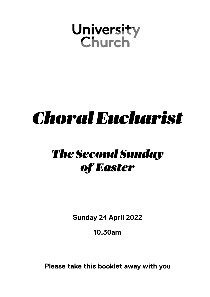# **University<br>Church**

## *ChoralEucharist*

## *The Second Sunday of Easter*

**Sunday 24 April 2022**

**10.30am**

**Please take this booklet away with you**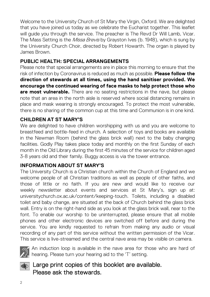Welcome to the University Church of St Mary the Virgin, Oxford. We are delighted that you have joined us today as we celebrate the Eucharist together. This leaflet will quide you through the service. The preacher is The Revd Dr Will Lamb, Vicar. The Mass Setting is the *Missa Brevis* by Grayston Ives (b. 1948), which is sung by the University Church Choir, directed by Robert Howarth. The organ is played by James Brown.

#### **PUBLIC HEALTH: SPECIAL ARRANGEMENTS**

Please note that special arrangements are in place this morning to ensure that the risk of infection by Coronavirus is reduced as much as possible. **Please follow the direction of stewards at all times, using the hand sanitiser provided. We encourage the continued wearing of face masks to help protect those who are most vulnerable.** There are no seating restrictions in the nave, but please note that an area in the north aisle is reserved where social distancing remains in place and mask wearing is strongly encouraged. To protect the most vulnerable, there is no sharing of the common cup at this time and Communion is in one kind.

#### **CHILDREN AT ST MARY'S**

We are delighted to have children worshipping with us and you are welcome to breastfeed and bottle-feed in church. A selection of toys and books are available in the Newman Room (behind the glass brick wall) next to the baby changing facilities. Godly Play takes place today and monthly on the first Sunday of each month in the Old Library during the first 45 minutes of the service for children aged 3-8 years old and their family. Buggy access is via the tower entrance.

#### **INFORMATION ABOUT ST MARY'S**

The University Church is a Christian church within the Church of England and we welcome people of all Christian traditions as well as people of other faiths, and those of little or no faith. If you are new and would like to receive our weekly newsletter about events and services at St Mary's, sign up at: universitychurch.ox.ac.uk/content/keeping-touch. Toilets, including a disabled toilet and baby change, are situated at the back of Church behind the glass brick wall. Entry is on the right-hand side as you look at the glass brick wall, near to the font. To enable our worship to be uninterrupted, please ensure that all mobile phones and other electronic devices are switched off before and during the service. You are kindly requested to refrain from making any audio or visual recording of any part of this service without the written permission of the Vicar. This service is live-streamed and the central nave area may be visible on camera.



An induction loop is available in the nave area for those who are hard of  $\gamma_{\rm n}^{\rm s}$  hearing. Please turn your hearing aid to the 'T' setting.

#### **AD** Large print copies of this booklet are available. Please ask the stewards.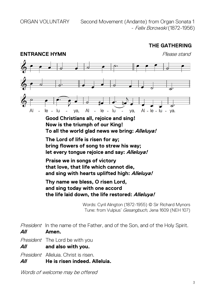ORGAN VOLUNTARY Second Movement (Andante) from Organ Sonata 1 - Felix Borowski (1872-1956)

#### **THE GATHERING**



**Good Christians all, rejoice and sing! Now is the triumph of our King! To all the world glad news we bring: Alleluya!**

**The Lord of life is risen for ay; bring flowers of song to strew his way; let every tongue rejoice and say: Alleluya!**

**Praise we in songs of victory that love, that life which cannot die, and sing with hearts uplifted high: Alleluya!**

**Thy name we bless, O risen Lord, and sing today with one accord the life laid down, the life restored: Alleluya!**

> Words: Cyril Alington (1872-1955) © Sir Richard Mynors Tune: from Vulpius' Gesangbuch, Jena 1609 (NEH 107)

President In the name of the Father, and of the Son, and of the Holy Spirit. **All Amen.**

President The Lord be with you

**All and also with you.**

President Alleluia. Christ is risen.

**All He is risen indeed. Alleluia.**

Words of welcome may be offered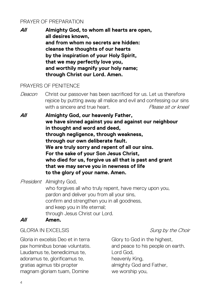#### PRAYER OF PREPARATION

**All Almighty God, to whom all hearts are open, all desires known, and from whom no secrets are hidden: cleanse the thoughts of our hearts by the inspiration of your Holy Spirit, that we may perfectly love you, and worthily magnify your holy name; through Christ our Lord. Amen.**

#### PRAYERS OF PENITENCE

- Deacon Christ our passover has been sacrificed for us. Let us therefore rejoice by putting away all malice and evil and confessing our sins with a sincere and true heart. The *Please sit or kneel*
- **All Almighty God, our heavenly Father, we have sinned against you and against our neighbour in thought and word and deed, through negligence, through weakness, through our own deliberate fault. We are truly sorry and repent of all our sins. For the sake of your Son Jesus Christ, who died for us, forgive us all that is past and grant that we may serve you in newness of life to the glory of your name. Amen.**

President Almighty God, who forgives all who truly repent, have mercy upon you, pardon and deliver you from all your sins, confirm and strengthen you in all goodness, and keep you in life eternal; through Jesus Christ our Lord.

#### **All Amen.**

#### GLORIA IN EXCELSIS GLORIA IN EXCELSIS

Gloria in excelsis Deo et in terra pax hominibus bonae voluntatis. Laudamus te, benedicimus te, adoramus te, glorificamus te, gratias agimus tibi propter magnam gloriam tuam, Domine

Glory to God in the highest, and peace to his people on earth. Lord God, heavenly King, almighty God and Father, we worship you,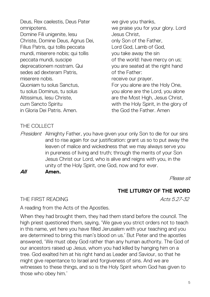Deus, Rex caelestis, Deus Pater omnipotens. Domine Fili unigenite, Iesu Christe, Domine Deus, Agnus Dei, Filius Patris, qui tollis peccata mundi, miserere nobis; qui tollis peccata mundi, suscipe deprecationem nostram. Qui sedes ad dexteram Patris, miserere nobis. Quoniam tu solus Sanctus, tu solus Dominus, tu solus Altissimus, Iesu Christe, cum Sancto Spiritu in Gloria Dei Patris. Amen.

we give you thanks. we praise you for your glory. Lord Jesus Christ, only Son of the Father, Lord God, Lamb of God, you take away the sin of the world: have mercy on us; you are seated at the right hand of the Father: receive our prayer. For you alone are the Holy One, you alone are the Lord, you alone are the Most High, Jesus Christ, with the Holy Spirit, in the glory of the God the Father. Amen

#### THE COLLECT

President Almighty Father, you have given your only Son to die for our sins and to rise again for our justification: grant us so to put away the leaven of malice and wickedness that we may always serve you in pureness of living and truth; through the merits of your Son Jesus Christ our Lord, who is alive and reigns with you, in the unity of the Holy Spirit, one God, now and for ever.

**All Amen.** 

Please sit

#### **THE LITURGY OF THE WORD**

THE FIRST READING Acts 5.27-32

A reading from the Acts of the Apostles.

When they had brought them, they had them stand before the council. The high priest questioned them, saying, 'We gave you strict orders not to teach in this name, yet here you have filled Jerusalem with your teaching and you are determined to bring this man's blood on us.' But Peter and the apostles answered, 'We must obey God rather than any human authority. The God of our ancestors raised up Jesus, whom you had killed by hanging him on a tree. God exalted him at his right hand as Leader and Saviour, so that he might give repentance to Israel and forgiveness of sins. And we are witnesses to these things, and so is the Holy Spirit whom God has given to those who obey him.'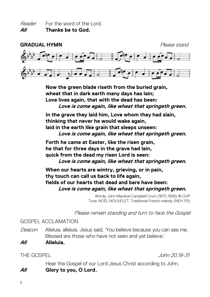Reader For the word of the Lord. **All Thanks be to God.**



**Now the green blade riseth from the buried grain, wheat that in dark earth many days has lain; Love lives again, that with the dead has been: Love is come again, like wheat that springeth green.** 

**In the grave they laid him, Love whom they had slain, thinking that never he would wake again, laid in the earth like grain that sleeps unseen: Love is come again, like wheat that springeth green.** 

**Forth he came at Easter, like the risen grain, he that for three days in the grave had lain, quick from the dead my risen Lord is seen: Love is come again, like wheat that springeth green.** 

**When our hearts are wintry, grieving, or in pain, thy touch can call us back to life again, fields of our hearts that dead and bare have been: Love is come again, like wheat that springeth green.** 

> Words: John Macleod Campbell Crum (1872-1958) © OUP Tune: NOËL NOUVELET, Traditional French melody (NEH 115)

Please remain standing and turn to face the Gospel

GOSPEL ACCLAMATION

Deacon Alleluia, alleluia. Jesus said, 'You believe because you can see me. Blessed are those who have not seen and yet believe.'

**All Alleluia.**

THE GOSPEL John 20.19-31

Hear the Gospel of our Lord Jesus Christ according to John. **All Glory to you, O Lord.**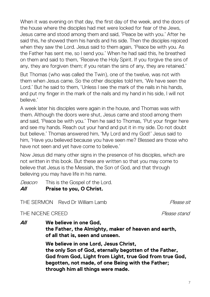When it was evening on that day, the first day of the week, and the doors of the house where the disciples had met were locked for fear of the Jews, Jesus came and stood among them and said, 'Peace be with you.' After he said this, he showed them his hands and his side. Then the disciples rejoiced when they saw the Lord. Jesus said to them again, 'Peace be with you. As the Father has sent me, so I send you.' When he had said this, he breathed on them and said to them, 'Receive the Holy Spirit. If you forgive the sins of any, they are forgiven them; if you retain the sins of any, they are retained.'

But Thomas (who was called the Twin), one of the twelve, was not with them when Jesus came. So the other disciples told him, 'We have seen the Lord.' But he said to them, 'Unless I see the mark of the nails in his hands, and put my finger in the mark of the nails and my hand in his side, I will not believe.'

A week later his disciples were again in the house, and Thomas was with them. Although the doors were shut, Jesus came and stood among them and said, 'Peace be with you.' Then he said to Thomas, 'Put your finger here and see my hands. Reach out your hand and put it in my side. Do not doubt but believe.' Thomas answered him, 'My Lord and my God!' Jesus said to him, 'Have you believed because you have seen me? Blessed are those who have not seen and yet have come to believe.'

Now Jesus did many other signs in the presence of his disciples, which are not written in this book. But these are written so that you may come to believe that Jesus is the Messiah, the Son of God, and that through believing you may have life in his name.

Deacon This is the Gospel of the Lord. **All Praise to you, O Christ.**

THE SERMON Revd Dr William Lamb The Sease sit

THE NICENE CREED **Please** stand

**All We believe in one God, the Father, the Almighty, maker of heaven and earth, of all that is, seen and unseen. We believe in one Lord, Jesus Christ, the only Son of God, eternally begotten of the Father, God from God, Light from Light, true God from true God,**

**begotten, not made, of one Being with the Father; through him all things were made.**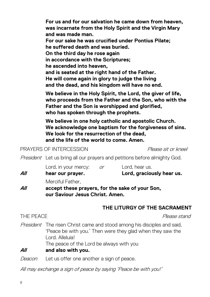Deacon Let us offer one another a sign of peace.

All may exchange a sign of peace by saying 'Peace be with you!'

**was incarnate from the Holy Spirit and the Virgin Mary and was made man. For our sake he was crucified under Pontius Pilate; he suffered death and was buried. On the third day he rose again in accordance with the Scriptures; he ascended into heaven, and is seated at the right hand of the Father. He will come again in glory to judge the living and the dead, and his kingdom will have no end.**

**For us and for our salvation he came down from heaven,** 

**We believe in the Holy Spirit, the Lord, the giver of life, who proceeds from the Father and the Son, who with the Father and the Son is worshipped and glorified, who has spoken through the prophets.**

**We believe in one holy catholic and apostolic Church. We acknowledge one baptism for the forgiveness of sins. We look for the resurrection of the dead, and the life of the world to come. Amen.**

PRAYERS OF INTERCESSION

President Let us bring all our prayers and petitions before almighty God.

Lord, in your mercy: or Lord, hear us.

**All hear our prayer. Lord, graciously hear us.**

Merciful Father,

**All accept these prayers, for the sake of your Son, our Saviour Jesus Christ. Amen.**

### **THE LITURGY OF THE SACRAMENT**

President The risen Christ came and stood among his disciples and said, 'Peace be with you.' Then were they glad when they saw the Lord. Alleluia!

The peace of the Lord be always with you

### **All and also with you.**

THE PEACE **PLACE Please** stand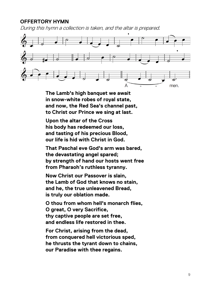#### **OFFERTORY HYMN**

During this hymn a collection is taken, and the altar is prepared.



**The Lamb's high banquet we await in snow-white robes of royal state, and now, the Red Sea's channel past, to Christ our Prince we sing at last.**

**Upon the altar of the Cross his body has redeemed our loss, and tasting of his precious Blood, our life is hid with Christ in God.**

**That Paschal eve God's arm was bared, the devastating angel spared; by strength of hand our hosts went free from Pharaoh's ruthless tyranny.**

**Now Christ our Passover is slain, the Lamb of God that knows no stain, and he, the true unleavened Bread, is truly our oblation made.**

**O thou from whom hell's monarch flies, O great, O very Sacrifice, thy captive people are set free, and endless life restored in thee.**

**For Christ, arising from the dead, from conquered hell victorious sped, he thrusts the tyrant down to chains, our Paradise with thee regains.**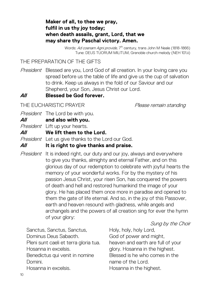#### **Maker of all, to thee we pray, fulfil in us thy joy today; when death assails, grant, Lord, that we may share thy Paschal victory. Amen.**

Words: Ad coenam Agni provide, 7<sup>th</sup> century, trans John M Neale (1818-1866) Tune: DEUS TUORUM MILITUM, Grenoble church melody (NEH 101.ii)

THE PREPARATION OF THE GIFTS

President Blessed are you, Lord God of all creation. In your loving care you spread before us the table of life and give us the cup of salvation to drink. Keep us always in the fold of our Saviour and our Shepherd, your Son, Jesus Christ our Lord.

#### **All Blessed be God forever.**

THE EUCHARISTIC PRAYER Please remain standing

President The Lord be with you.

**All and also with you.**

President Lift up your hearts.

**All We lift them to the Lord.**

President Let us give thanks to the Lord our God.

#### **All It is right to give thanks and praise.**

President It is indeed right, our duty and our joy, always and everywhere to give you thanks, almighty and eternal Father, and on this glorious day of our redemption to celebrate with joyful hearts the memory of your wonderful works. For by the mystery of his passion Jesus Christ, your risen Son, has conquered the powers of death and hell and restored humankind the image of your glory. He has placed them once more in paradise and opened to them the gate of life eternal. And so, in the joy of this Passover, earth and heaven resound with gladness, while angels and archangels and the powers of all creation sing for ever the hymn of your glory:

#### Sung by the Choir

Sanctus, Sanctus, Sanctus, Dominus Deus Sabaoth. Pleni sunt caeli et terra gloria tua. Hosanna in excelsis. Benedictus qui venit in nomine Domini. Hosanna in excelsis.

Holy, holy, holy Lord, God of power and might, heaven and earth are full of your glory. Hosanna in the highest. Blessed is he who comes in the name of the Lord. Hosanna in the highest.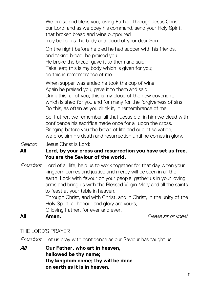We praise and bless you, loving Father, through Jesus Christ, our Lord; and as we obey his command, send your Holy Spirit, that broken bread and wine outpoured may be for us the body and blood of your dear Son.

On the night before he died he had supper with his friends, and taking bread, he praised you.

He broke the bread, gave it to them and said: Take, eat; this is my body which is given for you; do this in remembrance of me.

When supper was ended he took the cup of wine. Again he praised you, gave it to them and said: Drink this, all of you; this is my blood of the new covenant, which is shed for you and for many for the forgiveness of sins. Do this, as often as you drink it, in remembrance of me.

So, Father, we remember all that Jesus did, in him we plead with confidence his sacrifice made once for all upon the cross. Bringing before you the bread of life and cup of salvation, we proclaim his death and resurrection until he comes in glory.

Deacon Jesus Christ is Lord:

#### **All Lord, by your cross and resurrection you have set us free. You are the Saviour of the world.**

*President* Lord of all life, help us to work together for that day when your kingdom comes and justice and mercy will be seen in all the earth. Look with favour on your people, gather us in your loving arms and bring us with the Blessed Virgin Mary and all the saints to feast at your table in heaven.

Through Christ, and with Christ, and in Christ, in the unity of the Holy Spirit, all honour and glory are yours,

O loving Father, for ever and ever.

**All Amen.** Please sit or kneel

#### THE LORD'S PRAYER

President Let us pray with confidence as our Saviour has taught us:

**All Our Father, who art in heaven, hallowed be thy name; thy kingdom come; thy will be done on earth as it is in heaven.**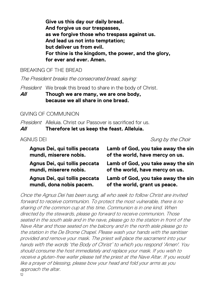**Give us this day our daily bread. And forgive us our trespasses, as we forgive those who trespass against us. And lead us not into temptation; but deliver us from evil. For thine is the kingdom, the power, and the glory, for ever and ever. Amen.**

BREAKING OF THE BREAD

The President breaks the consecrated bread, saying:

President We break this bread to share in the body of Christ.

**All Though we are many, we are one body, because we all share in one bread.**

GIVING OF COMMUNION

President Alleluia. Christ our Passover is sacrificed for us.

**All Therefore let us keep the feast. Alleluia.**

AGNUS DEI Sung by the Choir

| Agnus Dei, qui tollis peccata | Lamb of God, you take away the sin |
|-------------------------------|------------------------------------|
| mundi, miserere nobis.        | of the world, have mercy on us.    |
| Agnus Dei, qui tollis peccata | Lamb of God, you take away the sin |
| mundi, miserere nobis.        | of the world, have mercy on us.    |
| Agnus Dei, qui tollis peccata | Lamb of God, you take away the sin |
| mundi, dona nobis pacem.      | of the world, grant us peace.      |

Once the Agnus Dei has been sung, all who seek to follow Christ are invited forward to receive communion. To protect the most vulnerable, there is no sharing of the common cup at this time. Communion is in one kind. When directed by the stewards, please go forward to receive communion. Those seated in the south aisle and in the nave, please go to the station in front of the Nave Altar and those seated on the balcony and in the north aisle please go to the station in the De Brome Chapel. Please wash your hands with the sanitiser provided and remove your mask. The priest will place the sacrament into your hands with the words 'the Body of Christ' to which you respond 'Amen'. You should consume the host immediately and replace your mask. If you wish to receive a gluten-free wafer please tell the priest at the Nave Altar. If you would like a prayer of blessing, please bow your head and fold your arms as you approach the altar.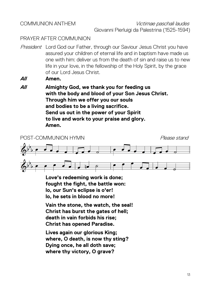#### COMMUNION ANTHEM Victimae paschali laudes Giovanni Pierluigi da Palestrina (1525-1594)

#### PRAYER AFTER COMMUNION

President Lord God our Father, through our Saviour Jesus Christ you have assured your children of eternal life and in baptism have made us one with him: deliver us from the death of sin and raise us to new life in your love, in the fellowship of the Holy Spirit, by the grace of our Lord Jesus Christ.

#### **All Amen.**

**All Almighty God, we thank you for feeding us with the body and blood of your Son Jesus Christ. Through him we offer you our souls and bodies to be a living sacrifice. Send us out in the power of your Spirit to live and work to your praise and glory. Amen.**



**Love's redeeming work is done; fought the fight, the battle won: lo, our Sun's eclipse is o'er! lo, he sets in blood no more!**

**Vain the stone, the watch, the seal! Christ has burst the gates of hell; death in vain forbids his rise; Christ has opened Paradise.**

**Lives again our glorious King; where, O death, is now thy sting? Dying once, he all doth save; where thy victory, O grave?**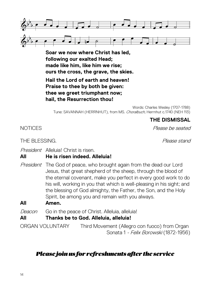

**Soar we now where Christ has led, following our exalted Head; made like him, like him we rise; ours the cross, the grave, the skies.**

**Hail the Lord of earth and heaven! Praise to thee by both be given: thee we greet triumphant now; hail, the Resurrection thou!**

Words: Charles Wesley (1707-1788) Tune: SAVANNAH (HERRNHUT), from MS. Choralbuch, Herrnhut c.1740 (NEH 113)

#### **THE DISMISSAL**

NOTICES Please be seated

THE BLESSING. THE BLESSING.

President Alleluial Christ is risen.

#### **All He is risen indeed. Alleluia!**

President The God of peace, who brought again from the dead our Lord Jesus, that great shepherd of the sheep, through the blood of the eternal covenant, make you perfect in every good work to do his will, working in you that which is well-pleasing in his sight; and the blessing of God almighty, the Father, the Son, and the Holy Spirit, be among you and remain with you always.

**All Amen.**

Deacon Go in the peace of Christ, Alleluia, alleluia!

**All Thanks be to God. Alleluia, alleluia!**

ORGAN VOLUNTARY Third Movement (Allegro con fuoco) from Organ Sonata 1 - Felix Borowski (1872-1956)

#### *Please join us for refreshments after the service*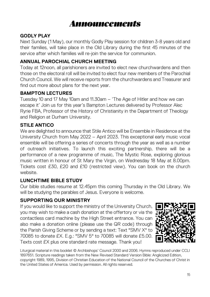

#### **GODLY PLAY**

Next Sunday (1 May), our monthly Godly Play session for children 3-8 years old and their families, will take place in the Old Library during the first 45 minutes of the service after which families will re-join the service for communion.

#### **ANNUAL PAROCHIAL CHURCH MEETING**

Today at 12noon, all parishioners are invited to elect new churchwardens and then those on the electoral roll will be invited to elect four new members of the Parochial Church Council. We will receive reports from the churchwardens and Treasurer and find out more about plans for the next year.

#### **BAMPTON LECTURES**

Tuesday 10 and 17 May 10am and 11.30am – 'The Age of Hitler and how we can escape it' Join us for this year's Bampton Lectures delivered by Professor Alec Ryrie FBA, Professor of the History of Christianity in the Department of Theology and Religion at Durham University.

#### **STILE ANTICO**

We are delighted to announce that Stile Antico will be Ensemble in Residence at the University Church from May 2022 – April 2023. This exceptional early music vocal ensemble will be offering a series of concerts through the year as well as a number of outreach initiatives. To launch this exciting partnership, there will be a performance of a new programme of music, The Mystic Rose, exploring glorious music written in honour of St Mary the Virgin, on Wednesday 18 May at 8.00pm. Tickets cost £30, £20 and £10 (restricted view). You can book on the church website.

#### **LUNCHTIME BIBLE STUDY**

Our bible studies resume at 12.45pm this coming Thursday in the Old Library. We will be studying the parables of Jesus. Everyone is welcome.

#### **SUPPORTING OUR MINISTRY**

If you would like to support the ministry of the University Church, you may wish to make a cash donation at the offertory or via the contactless card machine by the High Street entrance. You can also make a donation online (please use the QR code) through the Parish Giving Scheme or by sending a text: Text "SMV X" to 70085 to donate £X. E.g.: "SMV 5" to 70085 will donate £5.00. Texts cost £X plus one standard rate message. Thank you!



Liturgical material in this booklet © Archbishops' Council 2000 and 2006. Hymns reproduced under CCLI 1897651. Scripture readings taken from the New Revised Standard Version Bible: Anglicized Edition, copyright 1989, 1995, Division of Christian Education of the National Council of the Churches of Christ in the United States of America. Used by permission. All rights reserved.